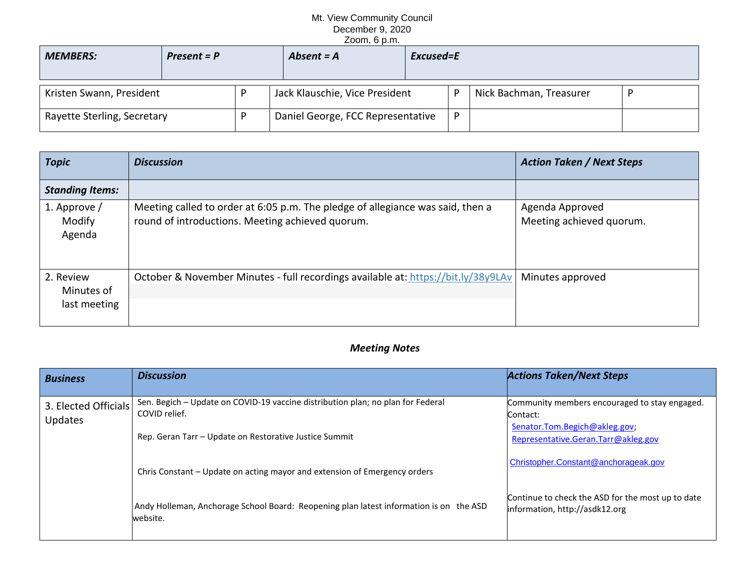## Mt. View Community Council December 9, 2020 Zoom, 6 p.m.

| <b>MEMBERS:</b>             | $Present = P$ |  | Absent $= A$                      | Excused=E |   |                         |  |
|-----------------------------|---------------|--|-----------------------------------|-----------|---|-------------------------|--|
| Kristen Swann, President    |               |  | Jack Klauschie, Vice President    |           | D | Nick Bachman, Treasurer |  |
| Rayette Sterling, Secretary |               |  | Daniel George, FCC Representative |           | D |                         |  |

| <b>Topic</b>                            | <b>Discussion</b>                                                                                                                  | <b>Action Taken / Next Steps</b>            |
|-----------------------------------------|------------------------------------------------------------------------------------------------------------------------------------|---------------------------------------------|
| <b>Standing Items:</b>                  |                                                                                                                                    |                                             |
| 1. Approve /<br>Modify<br>Agenda        | Meeting called to order at 6:05 p.m. The pledge of allegiance was said, then a<br>round of introductions. Meeting achieved quorum. | Agenda Approved<br>Meeting achieved quorum. |
| 2. Review<br>Minutes of<br>last meeting | October & November Minutes - full recordings available at: https://bit.ly/38y9LAv                                                  | Minutes approved                            |

## *Meeting Notes*

| <b>Business</b>                        | <b>Discussion</b>                                                                                  | <b>Actions Taken/Next Steps</b>                                                     |
|----------------------------------------|----------------------------------------------------------------------------------------------------|-------------------------------------------------------------------------------------|
| 3. Elected Officials<br><b>Updates</b> | Sen. Begich - Update on COVID-19 vaccine distribution plan; no plan for Federal<br>COVID relief.   | Community members encouraged to stay engaged.<br>Contact:                           |
|                                        | Rep. Geran Tarr - Update on Restorative Justice Summit                                             | Senator.Tom.Begich@akleg.gov;<br>Representative.Geran.Tarr@akleg.gov                |
|                                        | Chris Constant - Update on acting mayor and extension of Emergency orders                          | Christopher.Constant@anchorageak.gov                                                |
|                                        | Andy Holleman, Anchorage School Board: Reopening plan latest information is on the ASD<br>website. | Continue to check the ASD for the most up to date<br>information, http://asdk12.org |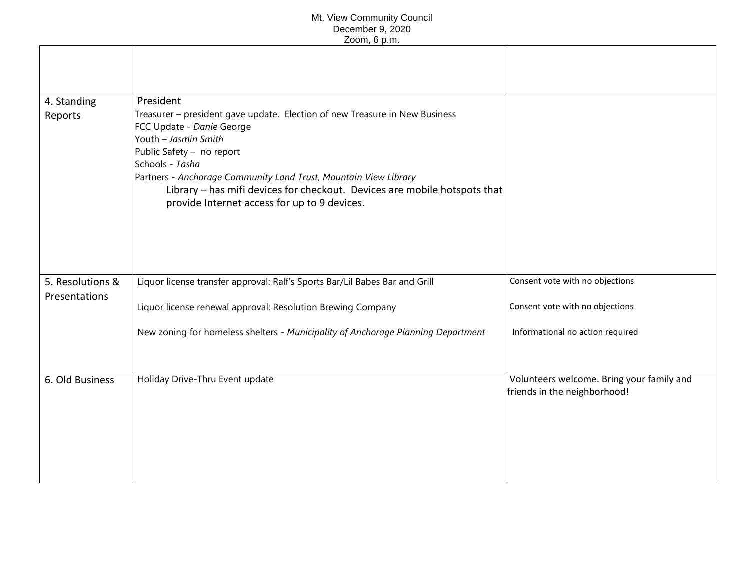## Mt. View Community Council December 9, 2020 Zoom, 6 p.m.

|                  | וויש ט ווייש                                                                                                                                                                                                                                                                                                                                                                      |                                                                           |
|------------------|-----------------------------------------------------------------------------------------------------------------------------------------------------------------------------------------------------------------------------------------------------------------------------------------------------------------------------------------------------------------------------------|---------------------------------------------------------------------------|
|                  |                                                                                                                                                                                                                                                                                                                                                                                   |                                                                           |
| 4. Standing      | President                                                                                                                                                                                                                                                                                                                                                                         |                                                                           |
| Reports          | Treasurer - president gave update. Election of new Treasure in New Business<br>FCC Update - Danie George<br>Youth - Jasmin Smith<br>Public Safety - no report<br>Schools - Tasha<br>Partners - Anchorage Community Land Trust, Mountain View Library<br>Library - has mifi devices for checkout. Devices are mobile hotspots that<br>provide Internet access for up to 9 devices. |                                                                           |
| 5. Resolutions & | Liquor license transfer approval: Ralf's Sports Bar/Lil Babes Bar and Grill                                                                                                                                                                                                                                                                                                       | Consent vote with no objections                                           |
| Presentations    |                                                                                                                                                                                                                                                                                                                                                                                   |                                                                           |
|                  | Liquor license renewal approval: Resolution Brewing Company                                                                                                                                                                                                                                                                                                                       | Consent vote with no objections                                           |
|                  | New zoning for homeless shelters - Municipality of Anchorage Planning Department                                                                                                                                                                                                                                                                                                  | Informational no action required                                          |
| 6. Old Business  | Holiday Drive-Thru Event update                                                                                                                                                                                                                                                                                                                                                   | Volunteers welcome. Bring your family and<br>friends in the neighborhood! |